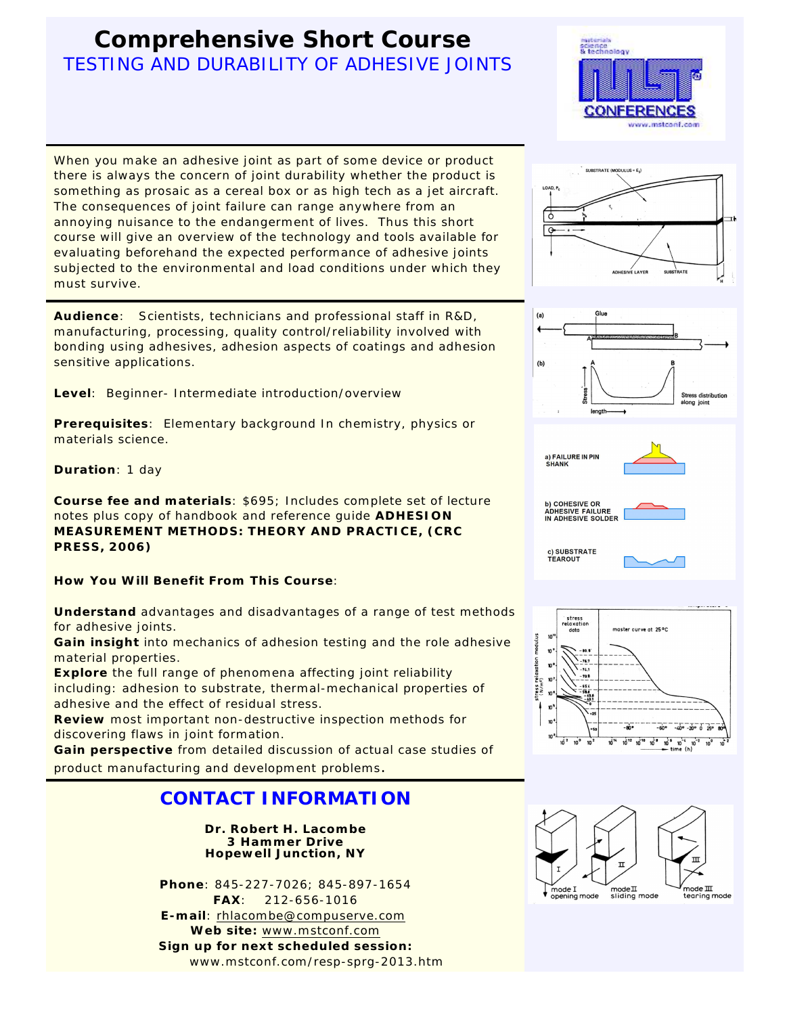# **Comprehensive Short Course** TESTING AND DURABILITY OF ADHESIVE JOINTS

When you make an adhesive joint as part of some device or product there is always the concern of joint durability whether the product is something as prosaic as a cereal box or as high tech as a jet aircraft. The consequences of joint failure can range anywhere from an annoying nuisance to the endangerment of lives. Thus this short course will give an overview of the technology and tools available for evaluating beforehand the expected performance of adhesive joints subjected to the environmental and load conditions under which they must survive.

**Audience**: Scientists, technicians and professional staff in R&D, manufacturing, processing, quality control/reliability involved with bonding using adhesives, adhesion aspects of coatings and adhesion sensitive applications.

**Level**: Beginner- Intermediate introduction/overview

**Prerequisites**: Elementary background In chemistry, physics or materials science.

**Duration**: 1 day

**Course fee and materials**: \$695; Includes complete set of lecture notes plus copy of handbook and reference guide **ADHESION MEASUREMENT METHODS: THEORY AND PRACTICE, (CRC PRESS, 2006)**

**How You Will Benefit From This Course**:

**Understand** advantages and disadvantages of a range of test methods for adhesive joints.

**Gain insight** into mechanics of adhesion testing and the role adhesive material properties.

**Explore** the full range of phenomena affecting joint reliability including: adhesion to substrate, thermal-mechanical properties of adhesive and the effect of residual stress.

**Review** most important non-destructive inspection methods for discovering flaws in joint formation.

**Gain perspective** from detailed discussion of actual case studies of product manufacturing and development problems.

## **CONTACT INFORMATION**

**Dr. Robert H. Lacombe 3 Hammer Drive Hopewell Junction, NY**

**Phone**: 845-227-7026; 845-897-1654 **FAX**: 212-656-1016 **E-mail**: [rhlacombe@compuserve.com](mailto:rhlacombe@compuserve.com) **Web site:** [www.mstconf.com](http://www.mstconf.com) **Sign up for next scheduled session:** www.mstconf.com/resp-sprg-2013.htm